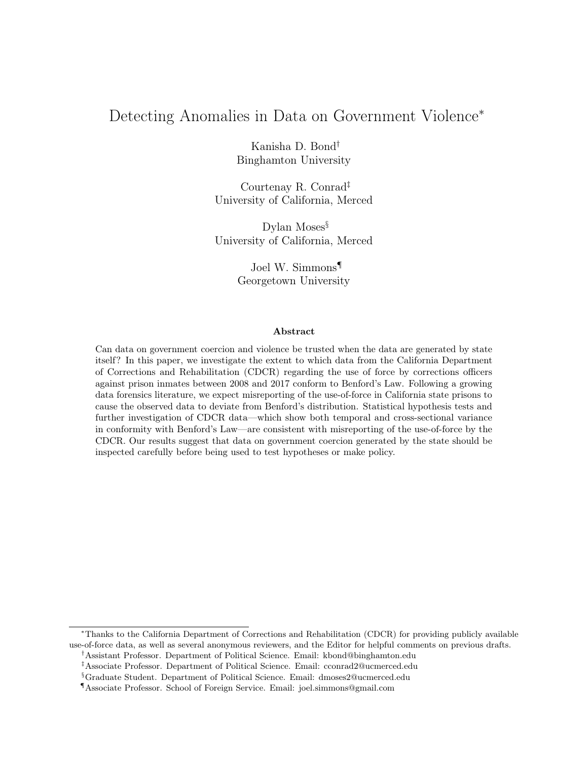# Detecting Anomalies in Data on Government Violence<sup>∗</sup>

Kanisha D. Bond† Binghamton University

Courtenay R. Conrad‡ University of California, Merced

Dylan Moses<sup>§</sup> University of California, Merced

> Joel W. Simmons¶ Georgetown University

#### Abstract

Can data on government coercion and violence be trusted when the data are generated by state itself? In this paper, we investigate the extent to which data from the California Department of Corrections and Rehabilitation (CDCR) regarding the use of force by corrections officers against prison inmates between 2008 and 2017 conform to Benford's Law. Following a growing data forensics literature, we expect misreporting of the use-of-force in California state prisons to cause the observed data to deviate from Benford's distribution. Statistical hypothesis tests and further investigation of CDCR data—which show both temporal and cross-sectional variance in conformity with Benford's Law—are consistent with misreporting of the use-of-force by the CDCR. Our results suggest that data on government coercion generated by the state should be inspected carefully before being used to test hypotheses or make policy.

<sup>∗</sup>Thanks to the California Department of Corrections and Rehabilitation (CDCR) for providing publicly available use-of-force data, as well as several anonymous reviewers, and the Editor for helpful comments on previous drafts.

<sup>†</sup>Assistant Professor. Department of Political Science. Email: kbond@binghamton.edu

<sup>‡</sup>Associate Professor. Department of Political Science. Email: cconrad2@ucmerced.edu

<sup>§</sup>Graduate Student. Department of Political Science. Email: dmoses2@ucmerced.edu

<sup>¶</sup>Associate Professor. School of Foreign Service. Email: joel.simmons@gmail.com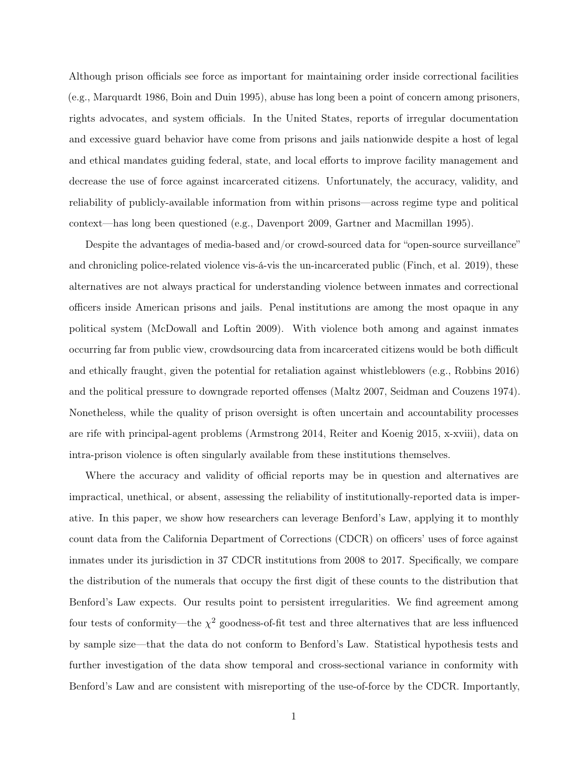Although prison officials see force as important for maintaining order inside correctional facilities (e.g., Marquardt 1986, Boin and Duin 1995), abuse has long been a point of concern among prisoners, rights advocates, and system officials. In the United States, reports of irregular documentation and excessive guard behavior have come from prisons and jails nationwide despite a host of legal and ethical mandates guiding federal, state, and local efforts to improve facility management and decrease the use of force against incarcerated citizens. Unfortunately, the accuracy, validity, and reliability of publicly-available information from within prisons—across regime type and political context—has long been questioned (e.g., Davenport 2009, Gartner and Macmillan 1995).

Despite the advantages of media-based and/or crowd-sourced data for "open-source surveillance" and chronicling police-related violence vis-á-vis the un-incarcerated public (Finch, et al. 2019), these alternatives are not always practical for understanding violence between inmates and correctional officers inside American prisons and jails. Penal institutions are among the most opaque in any political system (McDowall and Loftin 2009). With violence both among and against inmates occurring far from public view, crowdsourcing data from incarcerated citizens would be both difficult and ethically fraught, given the potential for retaliation against whistleblowers (e.g., Robbins 2016) and the political pressure to downgrade reported offenses (Maltz 2007, Seidman and Couzens 1974). Nonetheless, while the quality of prison oversight is often uncertain and accountability processes are rife with principal-agent problems (Armstrong 2014, Reiter and Koenig 2015, x-xviii), data on intra-prison violence is often singularly available from these institutions themselves.

Where the accuracy and validity of official reports may be in question and alternatives are impractical, unethical, or absent, assessing the reliability of institutionally-reported data is imperative. In this paper, we show how researchers can leverage Benford's Law, applying it to monthly count data from the California Department of Corrections (CDCR) on officers' uses of force against inmates under its jurisdiction in 37 CDCR institutions from 2008 to 2017. Specifically, we compare the distribution of the numerals that occupy the first digit of these counts to the distribution that Benford's Law expects. Our results point to persistent irregularities. We find agreement among four tests of conformity—the  $\chi^2$  goodness-of-fit test and three alternatives that are less influenced by sample size—that the data do not conform to Benford's Law. Statistical hypothesis tests and further investigation of the data show temporal and cross-sectional variance in conformity with Benford's Law and are consistent with misreporting of the use-of-force by the CDCR. Importantly,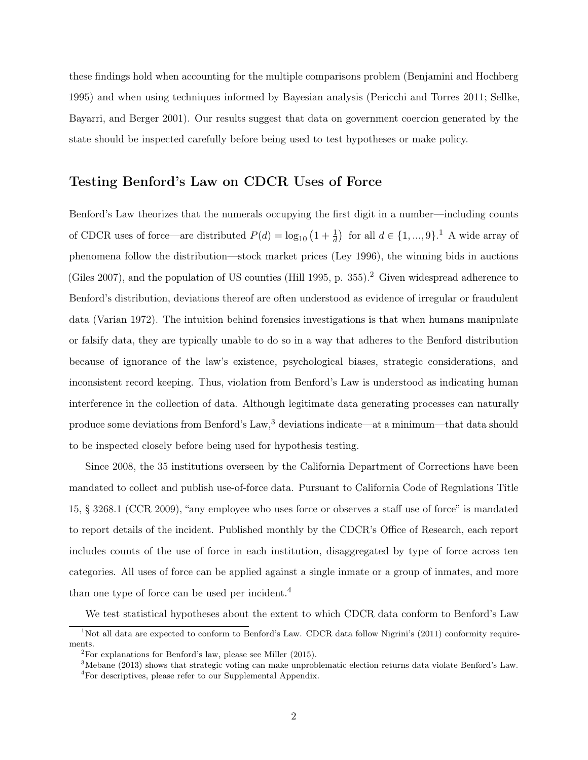these findings hold when accounting for the multiple comparisons problem (Benjamini and Hochberg 1995) and when using techniques informed by Bayesian analysis (Pericchi and Torres 2011; Sellke, Bayarri, and Berger 2001). Our results suggest that data on government coercion generated by the state should be inspected carefully before being used to test hypotheses or make policy.

#### Testing Benford's Law on CDCR Uses of Force

Benford's Law theorizes that the numerals occupying the first digit in a number—including counts of CDCR uses of force—are distributed  $P(d) = \log_{10} (1 + \frac{1}{d})$  $P(d) = \log_{10} (1 + \frac{1}{d})$  $P(d) = \log_{10} (1 + \frac{1}{d})$  for all  $d \in \{1, ..., 9\}$ .<sup>1</sup> A wide array of phenomena follow the distribution—stock market prices (Ley 1996), the winning bids in auctions (Giles [2](#page-2-1)007), and the population of US counties (Hill 1995, p. 355).<sup>2</sup> Given widespread adherence to Benford's distribution, deviations thereof are often understood as evidence of irregular or fraudulent data (Varian 1972). The intuition behind forensics investigations is that when humans manipulate or falsify data, they are typically unable to do so in a way that adheres to the Benford distribution because of ignorance of the law's existence, psychological biases, strategic considerations, and inconsistent record keeping. Thus, violation from Benford's Law is understood as indicating human interference in the collection of data. Although legitimate data generating processes can naturally produce some deviations from Benford's Law,<sup>[3](#page-2-2)</sup> deviations indicate—at a minimum—that data should to be inspected closely before being used for hypothesis testing.

Since 2008, the 35 institutions overseen by the California Department of Corrections have been mandated to collect and publish use-of-force data. Pursuant to California Code of Regulations Title 15, § 3268.1 (CCR 2009), "any employee who uses force or observes a staff use of force" is mandated to report details of the incident. Published monthly by the CDCR's Office of Research, each report includes counts of the use of force in each institution, disaggregated by type of force across ten categories. All uses of force can be applied against a single inmate or a group of inmates, and more than one type of force can be used per incident.<sup>[4](#page-2-3)</sup>

We test statistical hypotheses about the extent to which CDCR data conform to Benford's Law

<span id="page-2-0"></span><sup>&</sup>lt;sup>1</sup>Not all data are expected to conform to Benford's Law. CDCR data follow Nigrini's (2011) conformity requirements.

<span id="page-2-1"></span> $2^2$ For explanations for Benford's law, please see Miller (2015).

<span id="page-2-2"></span><sup>3</sup>Mebane (2013) shows that strategic voting can make unproblematic election returns data violate Benford's Law.

<span id="page-2-3"></span> $^4\!$  For descriptives, please refer to our Supplemental Appendix.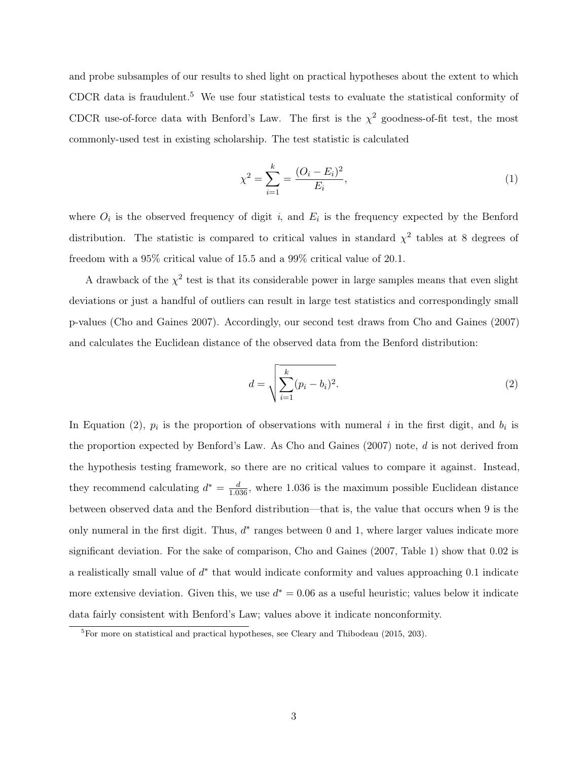and probe subsamples of our results to shed light on practical hypotheses about the extent to which CDCR data is fraudulent.<sup>[5](#page-3-0)</sup> We use four statistical tests to evaluate the statistical conformity of CDCR use-of-force data with Benford's Law. The first is the  $\chi^2$  goodness-of-fit test, the most commonly-used test in existing scholarship. The test statistic is calculated

$$
\chi^2 = \sum_{i=1}^k = \frac{(O_i - E_i)^2}{E_i},\tag{1}
$$

where  $O_i$  is the observed frequency of digit i, and  $E_i$  is the frequency expected by the Benford distribution. The statistic is compared to critical values in standard  $\chi^2$  tables at 8 degrees of freedom with a 95% critical value of 15.5 and a 99% critical value of 20.1.

A drawback of the  $\chi^2$  test is that its considerable power in large samples means that even slight deviations or just a handful of outliers can result in large test statistics and correspondingly small p-values (Cho and Gaines 2007). Accordingly, our second test draws from Cho and Gaines (2007) and calculates the Euclidean distance of the observed data from the Benford distribution:

<span id="page-3-1"></span>
$$
d = \sqrt{\sum_{i=1}^{k} (p_i - b_i)^2}.
$$
 (2)

In Equation [\(2\)](#page-3-1),  $p_i$  is the proportion of observations with numeral i in the first digit, and  $b_i$  is the proportion expected by Benford's Law. As Cho and Gaines (2007) note, d is not derived from the hypothesis testing framework, so there are no critical values to compare it against. Instead, they recommend calculating  $d^* = \frac{d}{1.036}$ , where 1.036 is the maximum possible Euclidean distance between observed data and the Benford distribution—that is, the value that occurs when 9 is the only numeral in the first digit. Thus,  $d^*$  ranges between 0 and 1, where larger values indicate more significant deviation. For the sake of comparison, Cho and Gaines (2007, Table 1) show that 0.02 is a realistically small value of  $d^*$  that would indicate conformity and values approaching 0.1 indicate more extensive deviation. Given this, we use  $d^* = 0.06$  as a useful heuristic; values below it indicate data fairly consistent with Benford's Law; values above it indicate nonconformity.

<span id="page-3-0"></span> ${}^{5}$ For more on statistical and practical hypotheses, see Cleary and Thibodeau (2015, 203).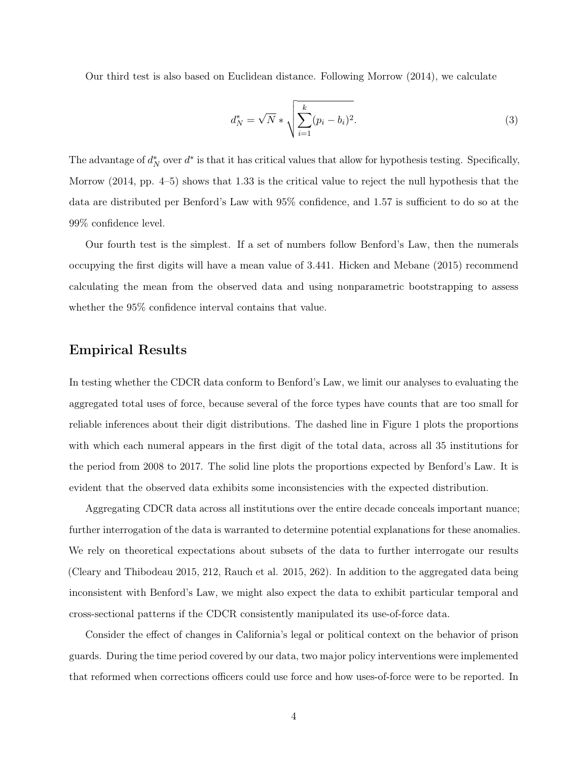Our third test is also based on Euclidean distance. Following Morrow (2014), we calculate

$$
d_N^* = \sqrt{N} * \sqrt{\sum_{i=1}^k (p_i - b_i)^2}.
$$
 (3)

The advantage of  $d_N^*$  over  $d^*$  is that it has critical values that allow for hypothesis testing. Specifically, Morrow (2014, pp. 4–5) shows that 1.33 is the critical value to reject the null hypothesis that the data are distributed per Benford's Law with 95% confidence, and 1.57 is sufficient to do so at the 99% confidence level.

Our fourth test is the simplest. If a set of numbers follow Benford's Law, then the numerals occupying the first digits will have a mean value of 3.441. Hicken and Mebane (2015) recommend calculating the mean from the observed data and using nonparametric bootstrapping to assess whether the 95% confidence interval contains that value.

### Empirical Results

In testing whether the CDCR data conform to Benford's Law, we limit our analyses to evaluating the aggregated total uses of force, because several of the force types have counts that are too small for reliable inferences about their digit distributions. The dashed line in Figure [1](#page-5-0) plots the proportions with which each numeral appears in the first digit of the total data, across all 35 institutions for the period from 2008 to 2017. The solid line plots the proportions expected by Benford's Law. It is evident that the observed data exhibits some inconsistencies with the expected distribution.

Aggregating CDCR data across all institutions over the entire decade conceals important nuance; further interrogation of the data is warranted to determine potential explanations for these anomalies. We rely on theoretical expectations about subsets of the data to further interrogate our results (Cleary and Thibodeau 2015, 212, Rauch et al. 2015, 262). In addition to the aggregated data being inconsistent with Benford's Law, we might also expect the data to exhibit particular temporal and cross-sectional patterns if the CDCR consistently manipulated its use-of-force data.

Consider the effect of changes in California's legal or political context on the behavior of prison guards. During the time period covered by our data, two major policy interventions were implemented that reformed when corrections officers could use force and how uses-of-force were to be reported. In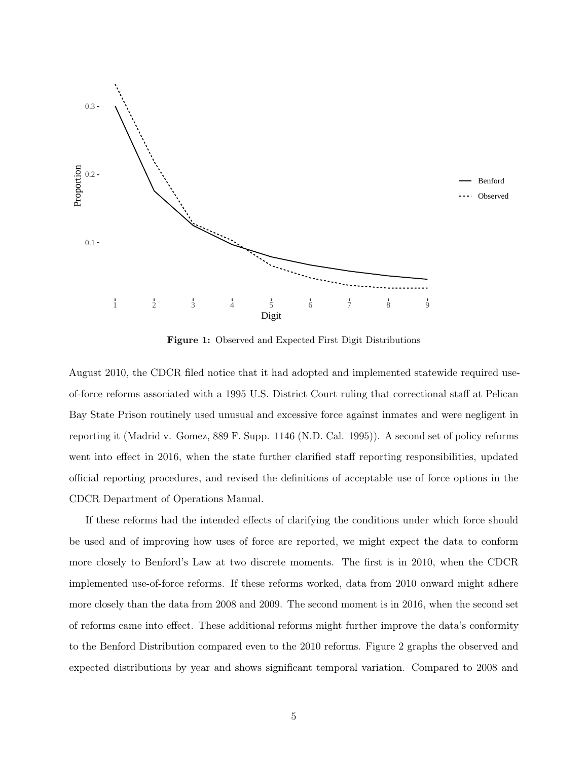<span id="page-5-0"></span>

Figure 1: Observed and Expected First Digit Distributions

August 2010, the CDCR filed notice that it had adopted and implemented statewide required useof-force reforms associated with a 1995 U.S. District Court ruling that correctional staff at Pelican Bay State Prison routinely used unusual and excessive force against inmates and were negligent in reporting it (Madrid v. Gomez, 889 F. Supp. 1146 (N.D. Cal. 1995)). A second set of policy reforms went into effect in 2016, when the state further clarified staff reporting responsibilities, updated official reporting procedures, and revised the definitions of acceptable use of force options in the CDCR Department of Operations Manual.

If these reforms had the intended effects of clarifying the conditions under which force should be used and of improving how uses of force are reported, we might expect the data to conform more closely to Benford's Law at two discrete moments. The first is in 2010, when the CDCR implemented use-of-force reforms. If these reforms worked, data from 2010 onward might adhere more closely than the data from 2008 and 2009. The second moment is in 2016, when the second set of reforms came into effect. These additional reforms might further improve the data's conformity to the Benford Distribution compared even to the 2010 reforms. Figure [2](#page-6-0) graphs the observed and expected distributions by year and shows significant temporal variation. Compared to 2008 and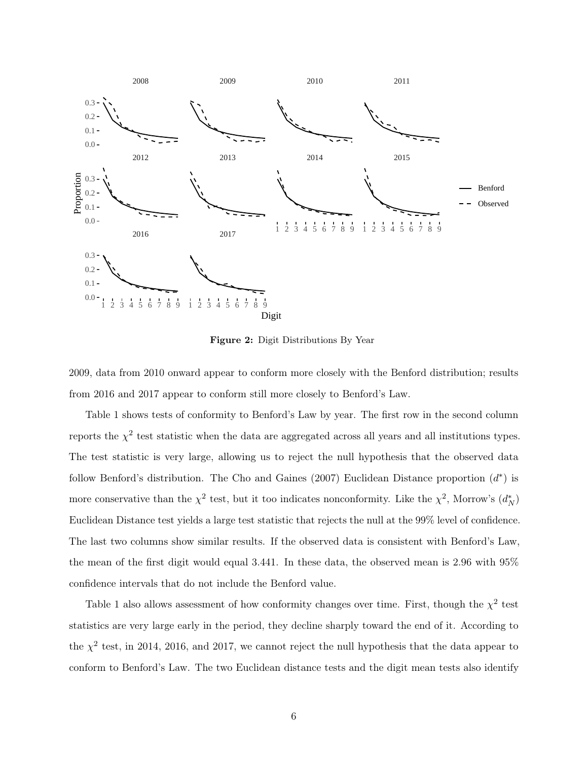<span id="page-6-0"></span>

Figure 2: Digit Distributions By Year

2009, data from 2010 onward appear to conform more closely with the Benford distribution; results from 2016 and 2017 appear to conform still more closely to Benford's Law.

Table [1](#page-7-0) shows tests of conformity to Benford's Law by year. The first row in the second column reports the  $\chi^2$  test statistic when the data are aggregated across all years and all institutions types. The test statistic is very large, allowing us to reject the null hypothesis that the observed data follow Benford's distribution. The Cho and Gaines (2007) Euclidean Distance proportion  $(d^*)$  is more conservative than the  $\chi^2$  test, but it too indicates nonconformity. Like the  $\chi^2$ , Morrow's  $(d_N^*)$ Euclidean Distance test yields a large test statistic that rejects the null at the 99% level of confidence. The last two columns show similar results. If the observed data is consistent with Benford's Law, the mean of the first digit would equal 3.441. In these data, the observed mean is 2.96 with 95% confidence intervals that do not include the Benford value.

Table [1](#page-7-0) also allows assessment of how conformity changes over time. First, though the  $\chi^2$  test statistics are very large early in the period, they decline sharply toward the end of it. According to the  $\chi^2$  test, in 2014, 2016, and 2017, we cannot reject the null hypothesis that the data appear to conform to Benford's Law. The two Euclidean distance tests and the digit mean tests also identify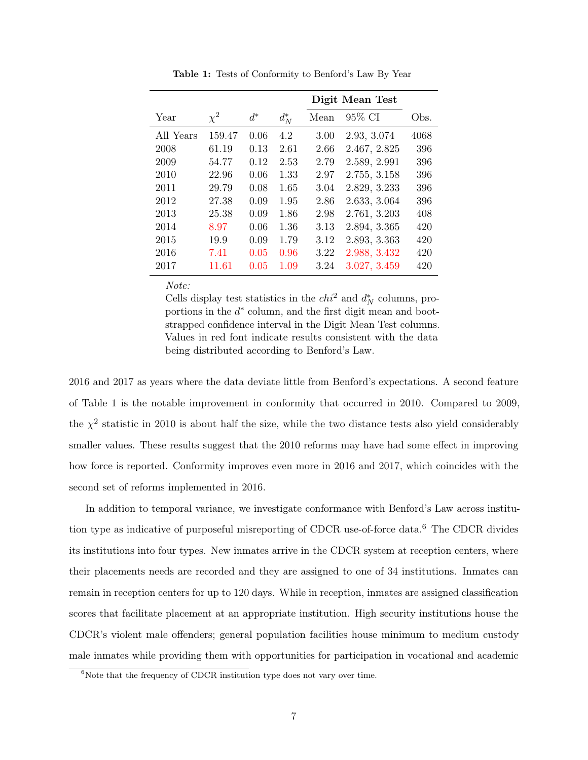<span id="page-7-0"></span>

|           |          |       |         | Digit Mean Test |              |      |
|-----------|----------|-------|---------|-----------------|--------------|------|
| Year      | $\chi^2$ | $d^*$ | $d_N^*$ | Mean            | 95% CI       | Obs. |
| All Years | 159.47   | 0.06  | 4.2     | 3.00            | 2.93, 3.074  | 4068 |
| 2008      | 61.19    | 0.13  | 2.61    | 2.66            | 2.467, 2.825 | 396  |
| 2009      | 54.77    | 0.12  | 2.53    | 2.79            | 2.589, 2.991 | 396  |
| 2010      | 22.96    | 0.06  | 1.33    | 2.97            | 2.755, 3.158 | 396  |
| 2011      | 29.79    | 0.08  | 1.65    | 3.04            | 2.829, 3.233 | 396  |
| 2012      | 27.38    | 0.09  | 1.95    | 2.86            | 2.633, 3.064 | 396  |
| 2013      | 25.38    | 0.09  | 1.86    | 2.98            | 2.761, 3.203 | 408  |
| 2014      | 8.97     | 0.06  | 1.36    | 3.13            | 2.894, 3.365 | 420  |
| 2015      | 19.9     | 0.09  | 1.79    | 3.12            | 2.893, 3.363 | 420  |
| 2016      | 7.41     | 0.05  | 0.96    | 3.22            | 2.988, 3.432 | 420  |
| 2017      | 11.61    | 0.05  | 1.09    | 3.24            | 3.027, 3.459 | 420  |

Table 1: Tests of Conformity to Benford's Law By Year

Note:

Cells display test statistics in the  $\epsilon h i^2$  and  $d_N^*$  columns, proportions in the  $d^*$  column, and the first digit mean and bootstrapped confidence interval in the Digit Mean Test columns. Values in red font indicate results consistent with the data being distributed according to Benford's Law.

2016 and 2017 as years where the data deviate little from Benford's expectations. A second feature of Table [1](#page-7-0) is the notable improvement in conformity that occurred in 2010. Compared to 2009, the  $\chi^2$  statistic in 2010 is about half the size, while the two distance tests also yield considerably smaller values. These results suggest that the 2010 reforms may have had some effect in improving how force is reported. Conformity improves even more in 2016 and 2017, which coincides with the second set of reforms implemented in 2016.

In addition to temporal variance, we investigate conformance with Benford's Law across institution type as indicative of purposeful misreporting of CDCR use-of-force data.[6](#page-7-1) The CDCR divides its institutions into four types. New inmates arrive in the CDCR system at reception centers, where their placements needs are recorded and they are assigned to one of 34 institutions. Inmates can remain in reception centers for up to 120 days. While in reception, inmates are assigned classification scores that facilitate placement at an appropriate institution. High security institutions house the CDCR's violent male offenders; general population facilities house minimum to medium custody male inmates while providing them with opportunities for participation in vocational and academic

<span id="page-7-1"></span> $6$ Note that the frequency of CDCR institution type does not vary over time.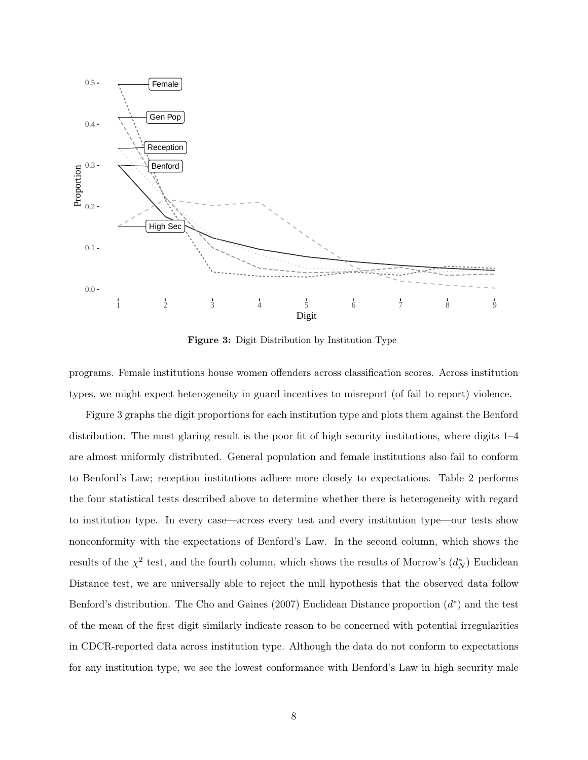<span id="page-8-0"></span>

Figure 3: Digit Distribution by Institution Type

programs. Female institutions house women offenders across classification scores. Across institution types, we might expect heterogeneity in guard incentives to misreport (of fail to report) violence.

Figure [3](#page-8-0) graphs the digit proportions for each institution type and plots them against the Benford distribution. The most glaring result is the poor fit of high security institutions, where digits 1–4 are almost uniformly distributed. General population and female institutions also fail to conform to Benford's Law; reception institutions adhere more closely to expectations. Table [2](#page-9-0) performs the four statistical tests described above to determine whether there is heterogeneity with regard to institution type. In every case—across every test and every institution type—our tests show nonconformity with the expectations of Benford's Law. In the second column, which shows the results of the  $\chi^2$  test, and the fourth column, which shows the results of Morrow's  $(d_N^*)$  Euclidean Distance test, we are universally able to reject the null hypothesis that the observed data follow Benford's distribution. The Cho and Gaines (2007) Euclidean Distance proportion  $(d^*)$  and the test of the mean of the first digit similarly indicate reason to be concerned with potential irregularities in CDCR-reported data across institution type. Although the data do not conform to expectations for any institution type, we see the lowest conformance with Benford's Law in high security male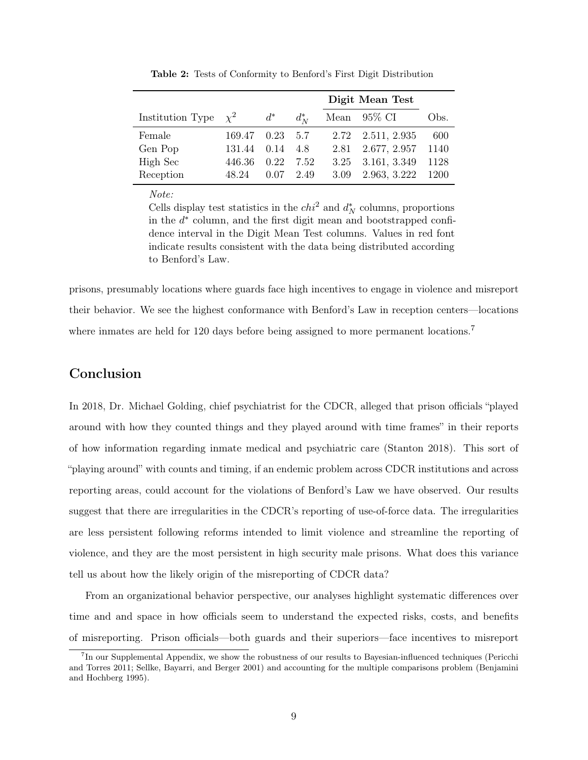<span id="page-9-0"></span>

|                           |        |                  |             | Digit Mean Test |                   |      |
|---------------------------|--------|------------------|-------------|-----------------|-------------------|------|
| Institution Type $\chi^2$ |        | $d^*$            | $d_N^*$     |                 | Mean $95\%$ CI    | Obs. |
| Female                    | 169.47 | $0.23 \quad 5.7$ |             |                 | 2.72 2.511, 2.935 | 600  |
| Gen Pop                   | 131.44 | 0.14             | 4.8         |                 | 2.81 2.677, 2.957 | 1140 |
| High Sec                  | 446.36 | 0.22             | 7.52        |                 | 3.25 3.161, 3.349 | 1128 |
| Reception                 | 48.24  |                  | $0.07$ 2.49 | 3.09            | 2.963, 3.222      | 1200 |
|                           |        |                  |             |                 |                   |      |

Table 2: Tests of Conformity to Benford's First Digit Distribution

Note:

Cells display test statistics in the  $chi^2$  and  $d_N^*$  columns, proportions in the  $d^*$  column, and the first digit mean and bootstrapped confidence interval in the Digit Mean Test columns. Values in red font indicate results consistent with the data being distributed according to Benford's Law.

prisons, presumably locations where guards face high incentives to engage in violence and misreport their behavior. We see the highest conformance with Benford's Law in reception centers—locations where inmates are held for 120 days before being assigned to more permanent locations.<sup>[7](#page-9-1)</sup>

#### Conclusion

In 2018, Dr. Michael Golding, chief psychiatrist for the CDCR, alleged that prison officials "played around with how they counted things and they played around with time frames" in their reports of how information regarding inmate medical and psychiatric care (Stanton 2018). This sort of "playing around" with counts and timing, if an endemic problem across CDCR institutions and across reporting areas, could account for the violations of Benford's Law we have observed. Our results suggest that there are irregularities in the CDCR's reporting of use-of-force data. The irregularities are less persistent following reforms intended to limit violence and streamline the reporting of violence, and they are the most persistent in high security male prisons. What does this variance tell us about how the likely origin of the misreporting of CDCR data?

From an organizational behavior perspective, our analyses highlight systematic differences over time and and space in how officials seem to understand the expected risks, costs, and benefits of misreporting. Prison officials—both guards and their superiors—face incentives to misreport

<span id="page-9-1"></span><sup>7</sup> In our Supplemental Appendix, we show the robustness of our results to Bayesian-influenced techniques (Pericchi and Torres 2011; Sellke, Bayarri, and Berger 2001) and accounting for the multiple comparisons problem (Benjamini and Hochberg 1995).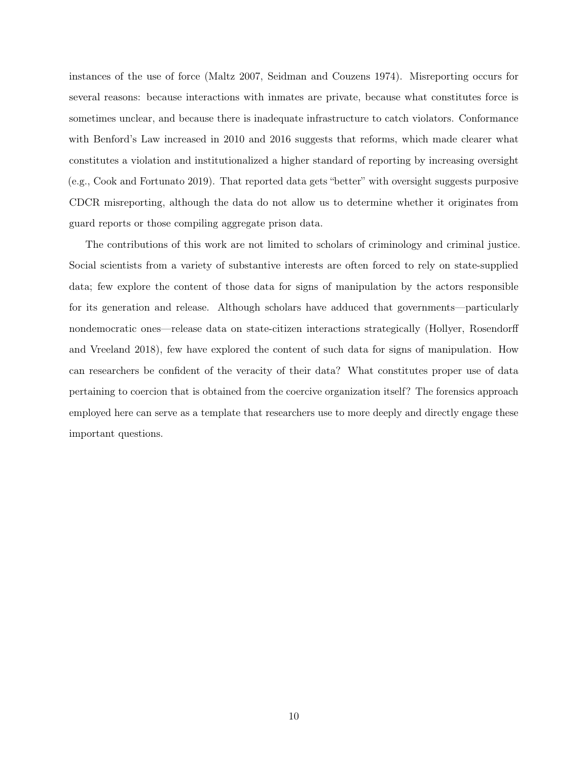instances of the use of force (Maltz 2007, Seidman and Couzens 1974). Misreporting occurs for several reasons: because interactions with inmates are private, because what constitutes force is sometimes unclear, and because there is inadequate infrastructure to catch violators. Conformance with Benford's Law increased in 2010 and 2016 suggests that reforms, which made clearer what constitutes a violation and institutionalized a higher standard of reporting by increasing oversight (e.g., Cook and Fortunato 2019). That reported data gets "better" with oversight suggests purposive CDCR misreporting, although the data do not allow us to determine whether it originates from guard reports or those compiling aggregate prison data.

The contributions of this work are not limited to scholars of criminology and criminal justice. Social scientists from a variety of substantive interests are often forced to rely on state-supplied data; few explore the content of those data for signs of manipulation by the actors responsible for its generation and release. Although scholars have adduced that governments—particularly nondemocratic ones—release data on state-citizen interactions strategically (Hollyer, Rosendorff and Vreeland 2018), few have explored the content of such data for signs of manipulation. How can researchers be confident of the veracity of their data? What constitutes proper use of data pertaining to coercion that is obtained from the coercive organization itself? The forensics approach employed here can serve as a template that researchers use to more deeply and directly engage these important questions.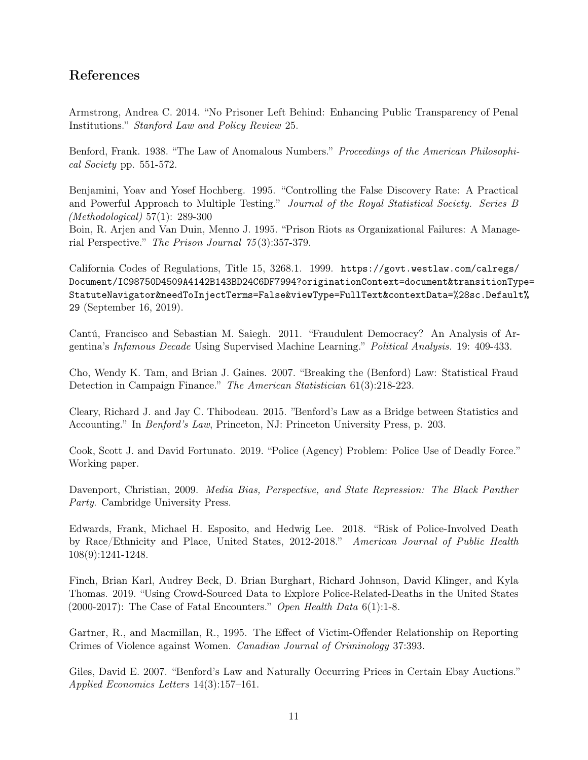## References

Armstrong, Andrea C. 2014. "No Prisoner Left Behind: Enhancing Public Transparency of Penal Institutions." Stanford Law and Policy Review 25.

Benford, Frank. 1938. "The Law of Anomalous Numbers." Proceedings of the American Philosophical Society pp. 551-572.

Benjamini, Yoav and Yosef Hochberg. 1995. "Controlling the False Discovery Rate: A Practical and Powerful Approach to Multiple Testing." Journal of the Royal Statistical Society. Series B (Methodological) 57(1): 289-300

Boin, R. Arjen and Van Duin, Menno J. 1995. "Prison Riots as Organizational Failures: A Managerial Perspective." The Prison Journal 75 (3):357-379.

California Codes of Regulations, Title 15, 3268.1. 1999. [https://govt.westlaw.com/calregs/](https://govt.westlaw.com/calregs/Document/IC98750D4509A4142B143BD24C6DF7994?originationContext=document&transitionType=StatuteNavigator&needToInjectTerms=False&viewType=FullText&contextData=%28sc.Default%29) [Document/IC98750D4509A4142B143BD24C6DF7994?originationContext=document&transitionTyp](https://govt.westlaw.com/calregs/Document/IC98750D4509A4142B143BD24C6DF7994?originationContext=document&transitionType=StatuteNavigator&needToInjectTerms=False&viewType=FullText&contextData=%28sc.Default%29)e= [StatuteNavigator&needToInjectTerms=False&viewType=FullText&contextData=%28sc.Default](https://govt.westlaw.com/calregs/Document/IC98750D4509A4142B143BD24C6DF7994?originationContext=document&transitionType=StatuteNavigator&needToInjectTerms=False&viewType=FullText&contextData=%28sc.Default%29)% [29](https://govt.westlaw.com/calregs/Document/IC98750D4509A4142B143BD24C6DF7994?originationContext=document&transitionType=StatuteNavigator&needToInjectTerms=False&viewType=FullText&contextData=%28sc.Default%29) (September 16, 2019).

Cantú, Francisco and Sebastian M. Saiegh. 2011. "Fraudulent Democracy? An Analysis of Argentina's Infamous Decade Using Supervised Machine Learning." Political Analysis. 19: 409-433.

Cho, Wendy K. Tam, and Brian J. Gaines. 2007. "Breaking the (Benford) Law: Statistical Fraud Detection in Campaign Finance." The American Statistician 61(3):218-223.

Cleary, Richard J. and Jay C. Thibodeau. 2015. "Benford's Law as a Bridge between Statistics and Accounting." In Benford's Law, Princeton, NJ: Princeton University Press, p. 203.

Cook, Scott J. and David Fortunato. 2019. "Police (Agency) Problem: Police Use of Deadly Force." Working paper.

Davenport, Christian, 2009. Media Bias, Perspective, and State Repression: The Black Panther Party. Cambridge University Press.

Edwards, Frank, Michael H. Esposito, and Hedwig Lee. 2018. "Risk of Police-Involved Death by Race/Ethnicity and Place, United States, 2012-2018." American Journal of Public Health 108(9):1241-1248.

Finch, Brian Karl, Audrey Beck, D. Brian Burghart, Richard Johnson, David Klinger, and Kyla Thomas. 2019. "Using Crowd-Sourced Data to Explore Police-Related-Deaths in the United States (2000-2017): The Case of Fatal Encounters." Open Health Data  $6(1)$ :1-8.

Gartner, R., and Macmillan, R., 1995. The Effect of Victim-Offender Relationship on Reporting Crimes of Violence against Women. Canadian Journal of Criminology 37:393.

Giles, David E. 2007. "Benford's Law and Naturally Occurring Prices in Certain Ebay Auctions." Applied Economics Letters 14(3):157–161.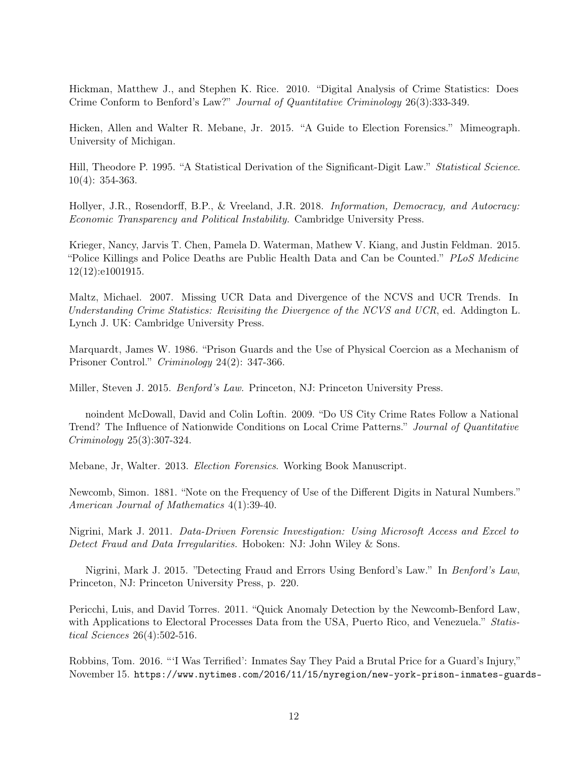Hickman, Matthew J., and Stephen K. Rice. 2010. "Digital Analysis of Crime Statistics: Does Crime Conform to Benford's Law?" Journal of Quantitative Criminology 26(3):333-349.

Hicken, Allen and Walter R. Mebane, Jr. 2015. "A Guide to Election Forensics." Mimeograph. University of Michigan.

Hill, Theodore P. 1995. "A Statistical Derivation of the Significant-Digit Law." Statistical Science. 10(4): 354-363.

Hollyer, J.R., Rosendorff, B.P., & Vreeland, J.R. 2018. Information, Democracy, and Autocracy: Economic Transparency and Political Instability. Cambridge University Press.

Krieger, Nancy, Jarvis T. Chen, Pamela D. Waterman, Mathew V. Kiang, and Justin Feldman. 2015. "Police Killings and Police Deaths are Public Health Data and Can be Counted." PLoS Medicine 12(12):e1001915.

Maltz, Michael. 2007. Missing UCR Data and Divergence of the NCVS and UCR Trends. In Understanding Crime Statistics: Revisiting the Divergence of the NCVS and UCR, ed. Addington L. Lynch J. UK: Cambridge University Press.

Marquardt, James W. 1986. "Prison Guards and the Use of Physical Coercion as a Mechanism of Prisoner Control." Criminology 24(2): 347-366.

Miller, Steven J. 2015. Benford's Law. Princeton, NJ: Princeton University Press.

noindent McDowall, David and Colin Loftin. 2009. "Do US City Crime Rates Follow a National Trend? The Influence of Nationwide Conditions on Local Crime Patterns." Journal of Quantitative Criminology 25(3):307-324.

Mebane, Jr, Walter. 2013. Election Forensics. Working Book Manuscript.

Newcomb, Simon. 1881. "Note on the Frequency of Use of the Different Digits in Natural Numbers." American Journal of Mathematics 4(1):39-40.

Nigrini, Mark J. 2011. Data-Driven Forensic Investigation: Using Microsoft Access and Excel to Detect Fraud and Data Irregularities. Hoboken: NJ: John Wiley & Sons.

Nigrini, Mark J. 2015. "Detecting Fraud and Errors Using Benford's Law." In Benford's Law, Princeton, NJ: Princeton University Press, p. 220.

Pericchi, Luis, and David Torres. 2011. "Quick Anomaly Detection by the Newcomb-Benford Law, with Applications to Electoral Processes Data from the USA, Puerto Rico, and Venezuela." Statistical Sciences 26(4):502-516.

Robbins, Tom. 2016. "'I Was Terrified': Inmates Say They Paid a Brutal Price for a Guard's Injury," November 15. [https://www.nytimes.com/2016/11/15/nyregion/new-york-prison-inmates-gua](https://www.nytimes.com/2016/11/15/nyregion/new-york-prison-inmates-guards-beatings.html)rds